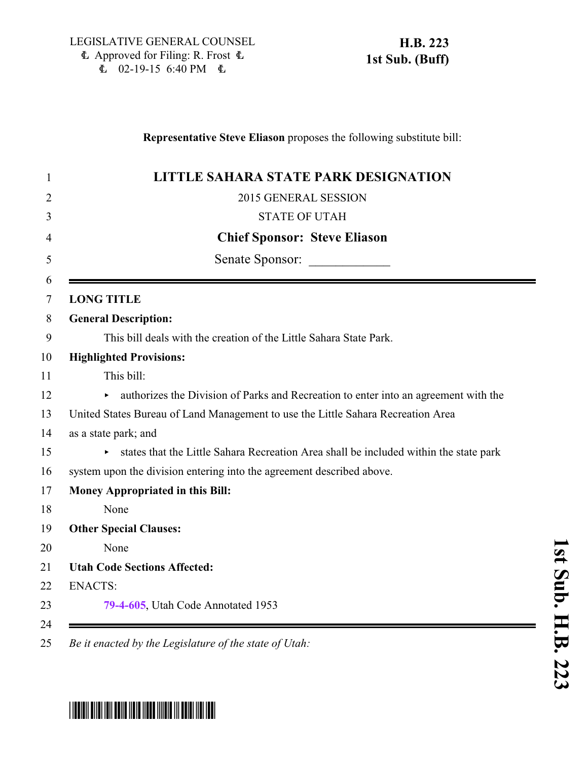## **Representative Steve Eliason** proposes the following substitute bill:

| <b>LITTLE SAHARA STATE PARK DESIGNATION</b>                                           |
|---------------------------------------------------------------------------------------|
| 2015 GENERAL SESSION                                                                  |
| <b>STATE OF UTAH</b>                                                                  |
| <b>Chief Sponsor: Steve Eliason</b>                                                   |
| Senate Sponsor:                                                                       |
| <b>LONG TITLE</b>                                                                     |
| <b>General Description:</b>                                                           |
| This bill deals with the creation of the Little Sahara State Park.                    |
| <b>Highlighted Provisions:</b>                                                        |
| This bill:                                                                            |
| authorizes the Division of Parks and Recreation to enter into an agreement with the   |
| United States Bureau of Land Management to use the Little Sahara Recreation Area      |
| as a state park; and                                                                  |
| states that the Little Sahara Recreation Area shall be included within the state park |
| system upon the division entering into the agreement described above.                 |
| <b>Money Appropriated in this Bill:</b>                                               |
| None                                                                                  |
| <b>Other Special Clauses:</b>                                                         |
| None                                                                                  |
| <b>Utah Code Sections Affected:</b>                                                   |
| <b>ENACTS:</b>                                                                        |
| 79-4-605, Utah Code Annotated 1953                                                    |

## **u b. H.B. 2 2** <u>پ</u>

**1 s t S**

## \*HB0223S01\*